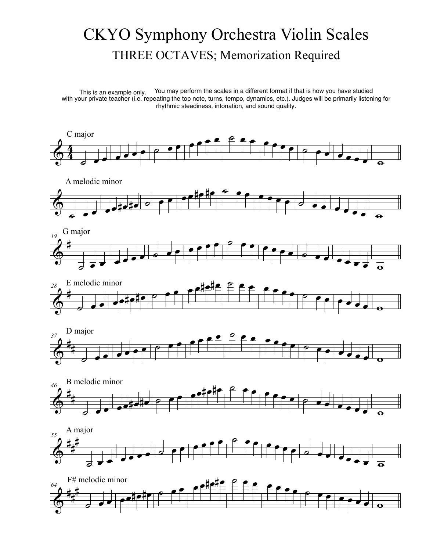## CKYO Symphony Orchestra Violin Scales THREE OCTAVES; Memorization Required

This is an example only. You may perform the scales in a different format if that is how you have studied with your private teacher (i.e. repeating the top note, turns, tempo, dynamics, etc.). Judges will be primarily listening for rhythmic steadiness, intonation, and sound quality. This is an example only.

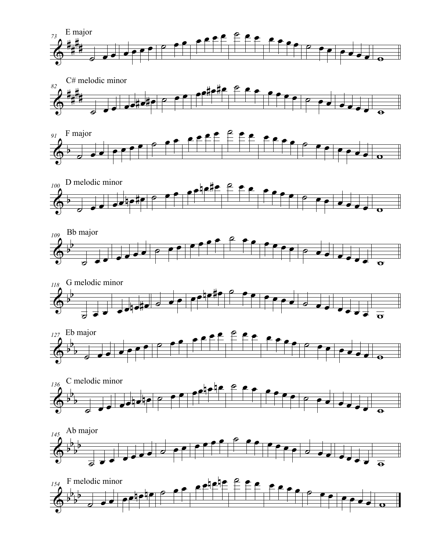

















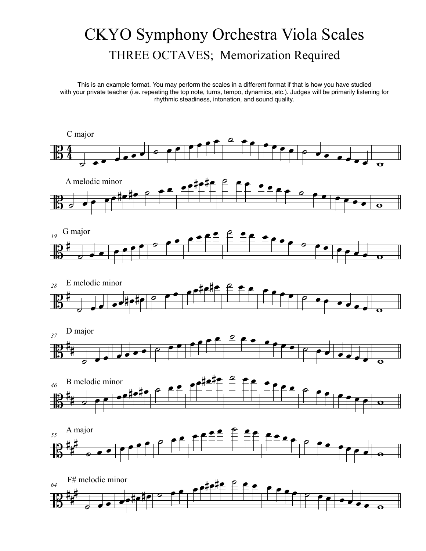## CKYO Symphony Orchestra Viola Scales THREE OCTAVES; Memorization Required

This is an example format. You may perform the scales in a different format if that is how you have studied with your private teacher (i.e. repeating the top note, turns, tempo, dynamics, etc.). Judges will be primarily listening for rhythmic steadiness, intonation, and sound quality.

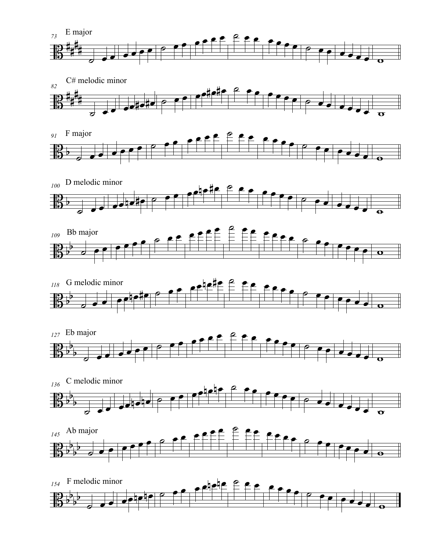

















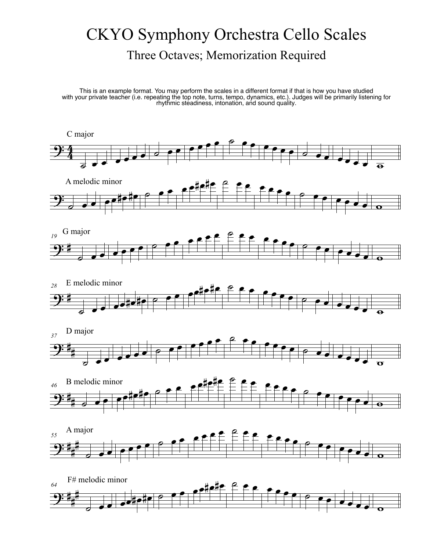## CKYO Symphony Orchestra Cello Scales Three Octaves; Memorization Required

This is an example format. You may perform the scales in a different format if that is how you have studied with your private teacher (i.e. repeating the top note, turns, tempo, dynamics, etc.). Judges will be primarily listening for rhythmic steadiness, intonation, and sound quality.

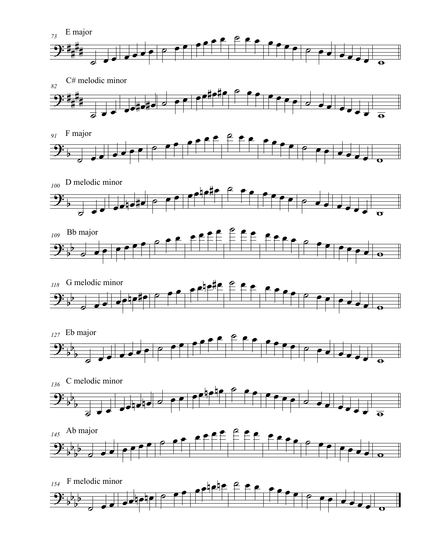

















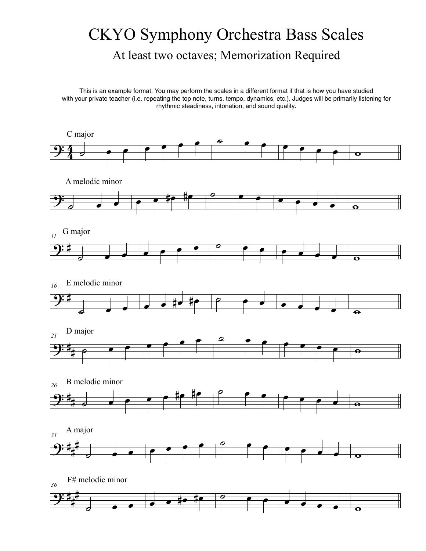## CKYO Symphony Orchestra Bass Scales At least two octaves; Memorization Required

This is an example format. You may perform the scales in a different format if that is how you have studied with your private teacher (i.e. repeating the top note, turns, tempo, dynamics, etc.). Judges will be primarily listening for rhythmic steadiness, intonation, and sound quality.